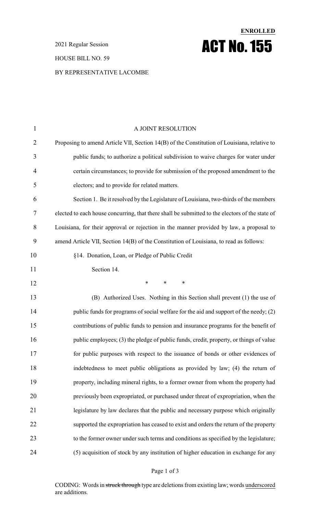2021 Regular Session

#### HOUSE BILL NO. 59

### BY REPRESENTATIVE LACOMBE

| $\mathbf{1}$   | A JOINT RESOLUTION                                                                              |
|----------------|-------------------------------------------------------------------------------------------------|
| $\overline{2}$ | Proposing to amend Article VII, Section 14(B) of the Constitution of Louisiana, relative to     |
| 3              | public funds; to authorize a political subdivision to waive charges for water under             |
| 4              | certain circumstances; to provide for submission of the proposed amendment to the               |
| 5              | electors; and to provide for related matters.                                                   |
| 6              | Section 1. Be it resolved by the Legislature of Louisiana, two-thirds of the members            |
| 7              | elected to each house concurring, that there shall be submitted to the electors of the state of |
| 8              | Louisiana, for their approval or rejection in the manner provided by law, a proposal to         |
| 9              | amend Article VII, Section 14(B) of the Constitution of Louisiana, to read as follows:          |
| 10             | §14. Donation, Loan, or Pledge of Public Credit                                                 |
| 11             | Section 14.                                                                                     |
| 12             | $\ast$<br>$\ast$<br>$\ast$                                                                      |
| 13             | (B) Authorized Uses. Nothing in this Section shall prevent (1) the use of                       |
| 14             | public funds for programs of social welfare for the aid and support of the needy; (2)           |
| 15             | contributions of public funds to pension and insurance programs for the benefit of              |
| 16             | public employees; (3) the pledge of public funds, credit, property, or things of value          |
| 17             | for public purposes with respect to the issuance of bonds or other evidences of                 |
| 18             | indebtedness to meet public obligations as provided by law; (4) the return of                   |
| 19             | property, including mineral rights, to a former owner from whom the property had                |
| 20             | previously been expropriated, or purchased under threat of expropriation, when the              |
| 21             | legislature by law declares that the public and necessary purpose which originally              |
| 22             | supported the expropriation has ceased to exist and orders the return of the property           |
| 23             | to the former owner under such terms and conditions as specified by the legislature;            |
| 24             | (5) acquisition of stock by any institution of higher education in exchange for any             |

**ENROLLED**

ACT No.155

### Page 1 of 3

CODING: Words in struck through type are deletions from existing law; words underscored are additions.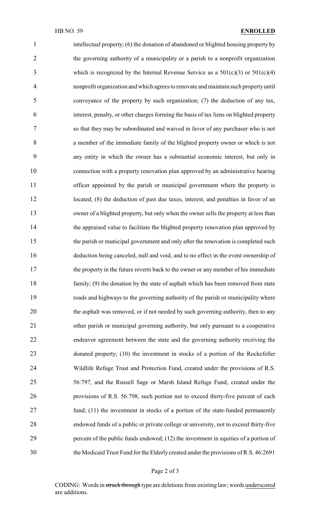intellectual property; (6) the donation of abandoned or blighted housing property by the governing authority of a municipality or a parish to a nonprofit organization 3 which is recognized by the Internal Revenue Service as a  $501(c)(3)$  or  $501(c)(4)$  nonprofit organization and which agrees to renovate and maintain such propertyuntil conveyance of the property by such organization; (7) the deduction of any tax, interest, penalty, or other charges forming the basis of tax liens on blighted property so that they may be subordinated and waived in favor of any purchaser who is not a member of the immediate family of the blighted property owner or which is not any entity in which the owner has a substantial economic interest, but only in connection with a property renovation plan approved by an administrative hearing 11 officer appointed by the parish or municipal government where the property is 12 located; (8) the deduction of past due taxes, interest, and penalties in favor of an owner of a blighted property, but only when the owner sells the property at less than 14 the appraised value to facilitate the blighted property renovation plan approved by the parish or municipal government and only after the renovation is completed such deduction being canceled, null and void, and to no effect in the event ownership of the property in the future reverts back to the owner or any member of his immediate family; (9) the donation by the state of asphalt which has been removed from state roads and highways to the governing authority of the parish or municipality where the asphalt was removed, or if not needed by such governing authority, then to any other parish or municipal governing authority, but only pursuant to a cooperative endeavor agreement between the state and the governing authority receiving the donated property; (10) the investment in stocks of a portion of the Rockefeller Wildlife Refuge Trust and Protection Fund, created under the provisions of R.S. 56:797, and the Russell Sage or Marsh Island Refuge Fund, created under the provisions of R.S. 56:798, such portion not to exceed thirty-five percent of each fund; (11) the investment in stocks of a portion of the state-funded permanently endowed funds of a public or private college or university, not to exceed thirty-five 29 percent of the public funds endowed; (12) the investment in equities of a portion of the Medicaid Trust Fund for the Elderly created under the provisions of R.S. 46:2691

#### Page 2 of 3

CODING: Words in struck through type are deletions from existing law; words underscored are additions.